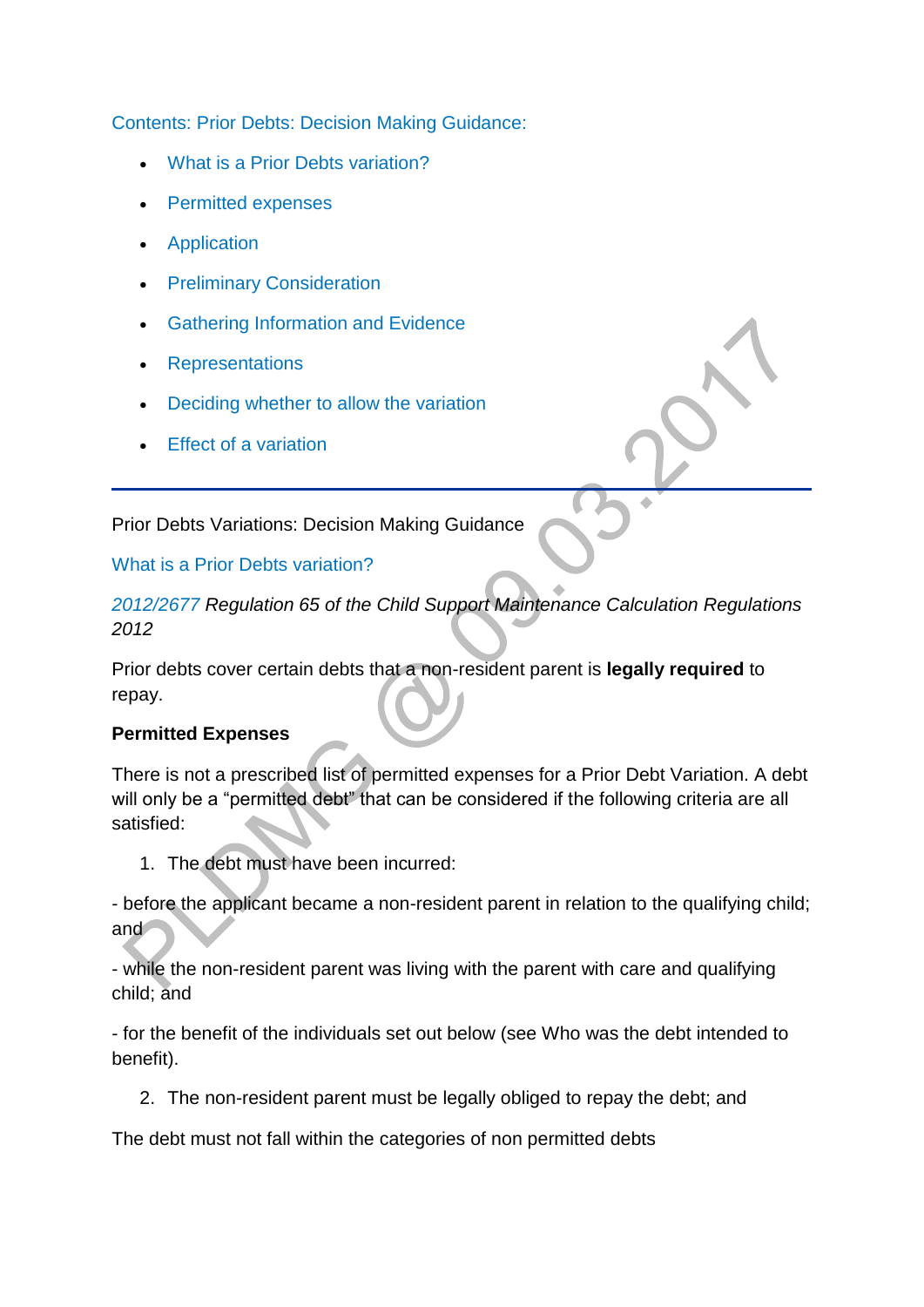[Contents: Prior Debts: Decision Making Guidance:](http://np-cmg-sharepoint.link2.gpn.gov.uk/sites/policy-law-and-decision-making-guidance/Pages/Variations/Special%20Expenses/Prior-Debts.aspx)

- [What is a Prior Debts variation?](http://np-cmg-sharepoint.link2.gpn.gov.uk/sites/policy-law-and-decision-making-guidance/Pages/Variations/Special%20Expenses/Prior-Debts.aspx#priordebts)
- [Permitted expenses](http://np-cmg-sharepoint.link2.gpn.gov.uk/sites/policy-law-and-decision-making-guidance/Pages/Variations/Special%20Expenses/Prior-Debts.aspx#WebPartTitleWPQ2)
- [Application](http://np-cmg-sharepoint.link2.gpn.gov.uk/sites/policy-law-and-decision-making-guidance/Pages/Variations/Special%20Expenses/Prior-Debts.aspx#PDApplication)
- **•** [Preliminary Consideration](http://np-cmg-sharepoint.link2.gpn.gov.uk/sites/policy-law-and-decision-making-guidance/Pages/Variations/Special%20Expenses/Prior-Debts.aspx#PDPreliminaryConsideration)
- **[Gathering Information and Evidence](http://np-cmg-sharepoint.link2.gpn.gov.uk/sites/policy-law-and-decision-making-guidance/Pages/Variations/Special%20Expenses/Prior-Debts.aspx#PDEvidence)**
- [Representations](http://np-cmg-sharepoint.link2.gpn.gov.uk/sites/policy-law-and-decision-making-guidance/Pages/Variations/Special%20Expenses/Prior-Debts.aspx#PDRepresentations)
- [Deciding whether to allow the variation](http://np-cmg-sharepoint.link2.gpn.gov.uk/sites/policy-law-and-decision-making-guidance/Pages/Variations/Special%20Expenses/Prior-Debts.aspx#PDAllow)
- [Effect of a variation](http://np-cmg-sharepoint.link2.gpn.gov.uk/sites/policy-law-and-decision-making-guidance/Pages/Variations/Special%20Expenses/Prior-Debts.aspx#PDEffect)

Prior Debts Variations: Decision Making Guidance

#### [What is a Prior Debts variation?](http://np-cmg-sharepoint.link2.gpn.gov.uk/sites/policy-law-and-decision-making-guidance/Pages/Variations/Special%20Expenses/Prior-Debts.aspx)

*[2012/2677 R](http://www.legislation.gov.uk/uksi/2012/2677)egulation 65 of the Child Support Maintenance Calculation Regulations 2012*

Prior debts cover certain debts that a non-resident parent is **legally required** to repay.

### **Permitted Expenses**

There is not a prescribed list of permitted expenses for a Prior Debt Variation. A debt will only be a "permitted debt" that can be considered if the following criteria are all satisfied:

1. The debt must have been incurred:

- before the applicant became a non-resident parent in relation to the qualifying child; and

- while the non-resident parent was living with the parent with care and qualifying child; and

- for the benefit of the individuals set out below (see Who was the debt intended to benefit).

2. The non-resident parent must be legally obliged to repay the debt; and

The debt must not fall within the categories of non permitted debts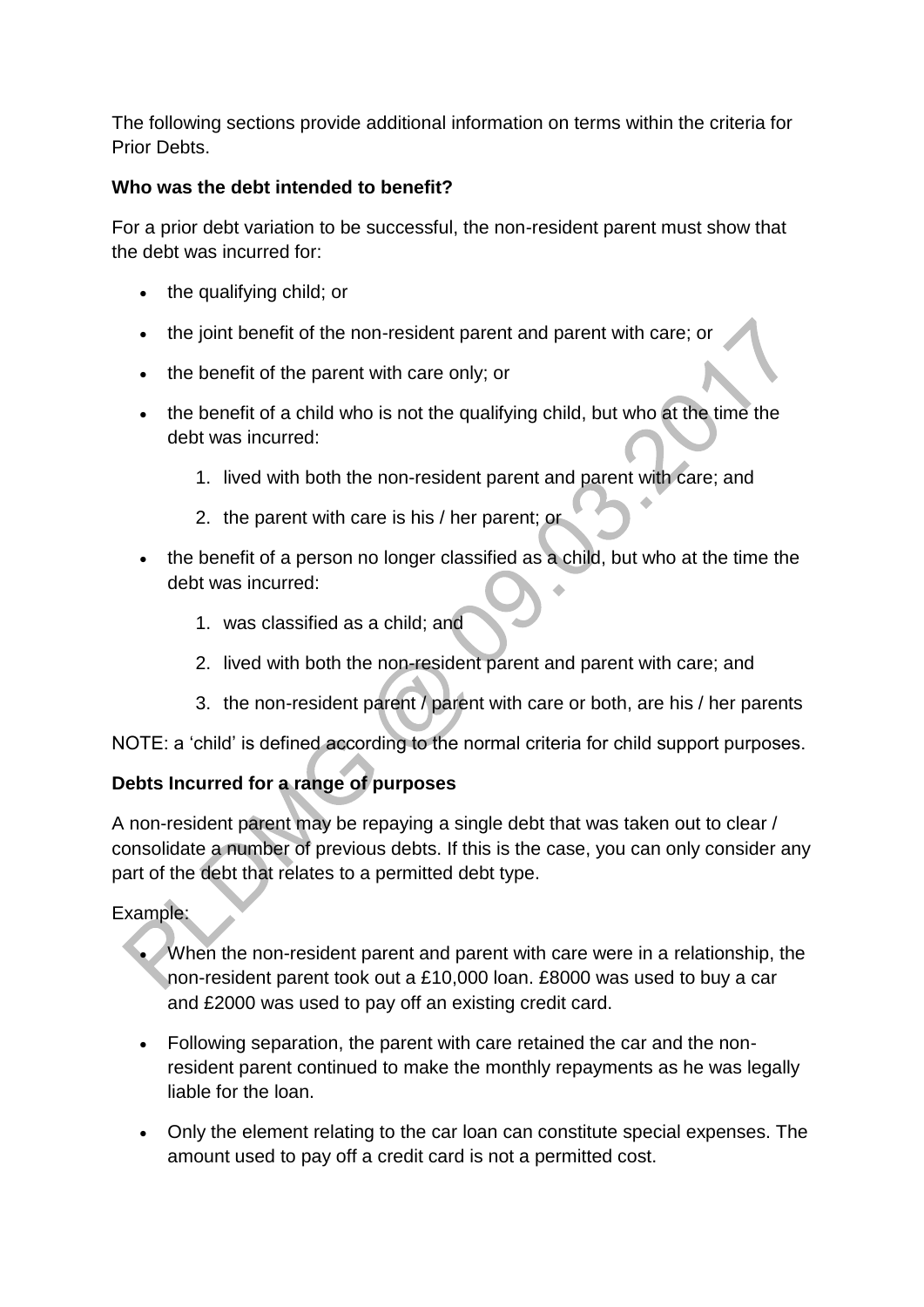The following sections provide additional information on terms within the criteria for Prior Debts.

### **Who was the debt intended to benefit?**

For a prior debt variation to be successful, the non-resident parent must show that the debt was incurred for:

- the qualifying child; or
- the joint benefit of the non-resident parent and parent with care; or
- the benefit of the parent with care only; or
- the benefit of a child who is not the qualifying child, but who at the time the debt was incurred:
	- 1. lived with both the non-resident parent and parent with care; and
	- 2. the parent with care is his / her parent; or
- the benefit of a person no longer classified as a child, but who at the time the debt was incurred:
	- 1. was classified as a child; and
	- 2. lived with both the non-resident parent and parent with care; and
	- 3. the non-resident parent / parent with care or both, are his / her parents

NOTE: a 'child' is defined according to the normal criteria for child support purposes.

# **Debts Incurred for a range of purposes**

A non-resident parent may be repaying a single debt that was taken out to clear / consolidate a number of previous debts. If this is the case, you can only consider any part of the debt that relates to a permitted debt type.

Example:

- When the non-resident parent and parent with care were in a relationship, the non-resident parent took out a £10,000 loan. £8000 was used to buy a car and £2000 was used to pay off an existing credit card.
- Following separation, the parent with care retained the car and the nonresident parent continued to make the monthly repayments as he was legally liable for the loan.
- Only the element relating to the car loan can constitute special expenses. The amount used to pay off a credit card is not a permitted cost.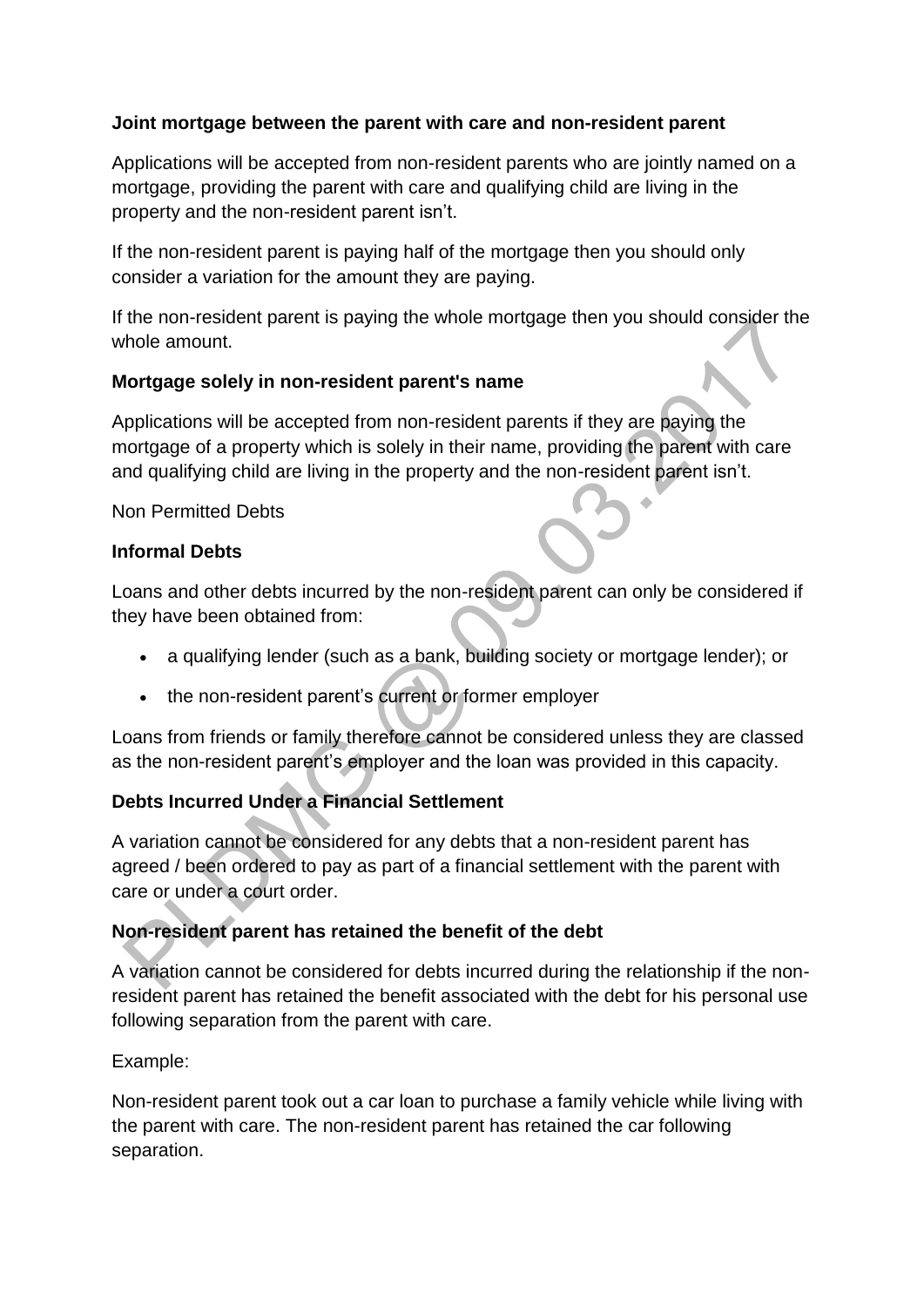### **Joint mortgage between the parent with care and non-resident parent**

Applications will be accepted from non-resident parents who are jointly named on a mortgage, providing the parent with care and qualifying child are living in the property and the non-resident parent isn't.

If the non-resident parent is paying half of the mortgage then you should only consider a variation for the amount they are paying.

If the non-resident parent is paying the whole mortgage then you should consider the whole amount.

### **Mortgage solely in non-resident parent's name**

Applications will be accepted from non-resident parents if they are paying the mortgage of a property which is solely in their name, providing the parent with care and qualifying child are living in the property and the non-resident parent isn't.

Non Permitted Debts

### **Informal Debts**

Loans and other debts incurred by the non-resident parent can only be considered if they have been obtained from:

- a qualifying lender (such as a bank, building society or mortgage lender); or
- the non-resident parent's current or former employer

Loans from friends or family therefore cannot be considered unless they are classed as the non-resident parent's employer and the loan was provided in this capacity.

# **Debts Incurred Under a Financial Settlement**

A variation cannot be considered for any debts that a non-resident parent has agreed / been ordered to pay as part of a financial settlement with the parent with care or under a court order.

# **Non-resident parent has retained the benefit of the debt**

A variation cannot be considered for debts incurred during the relationship if the nonresident parent has retained the benefit associated with the debt for his personal use following separation from the parent with care.

### Example:

Non-resident parent took out a car loan to purchase a family vehicle while living with the parent with care. The non-resident parent has retained the car following separation.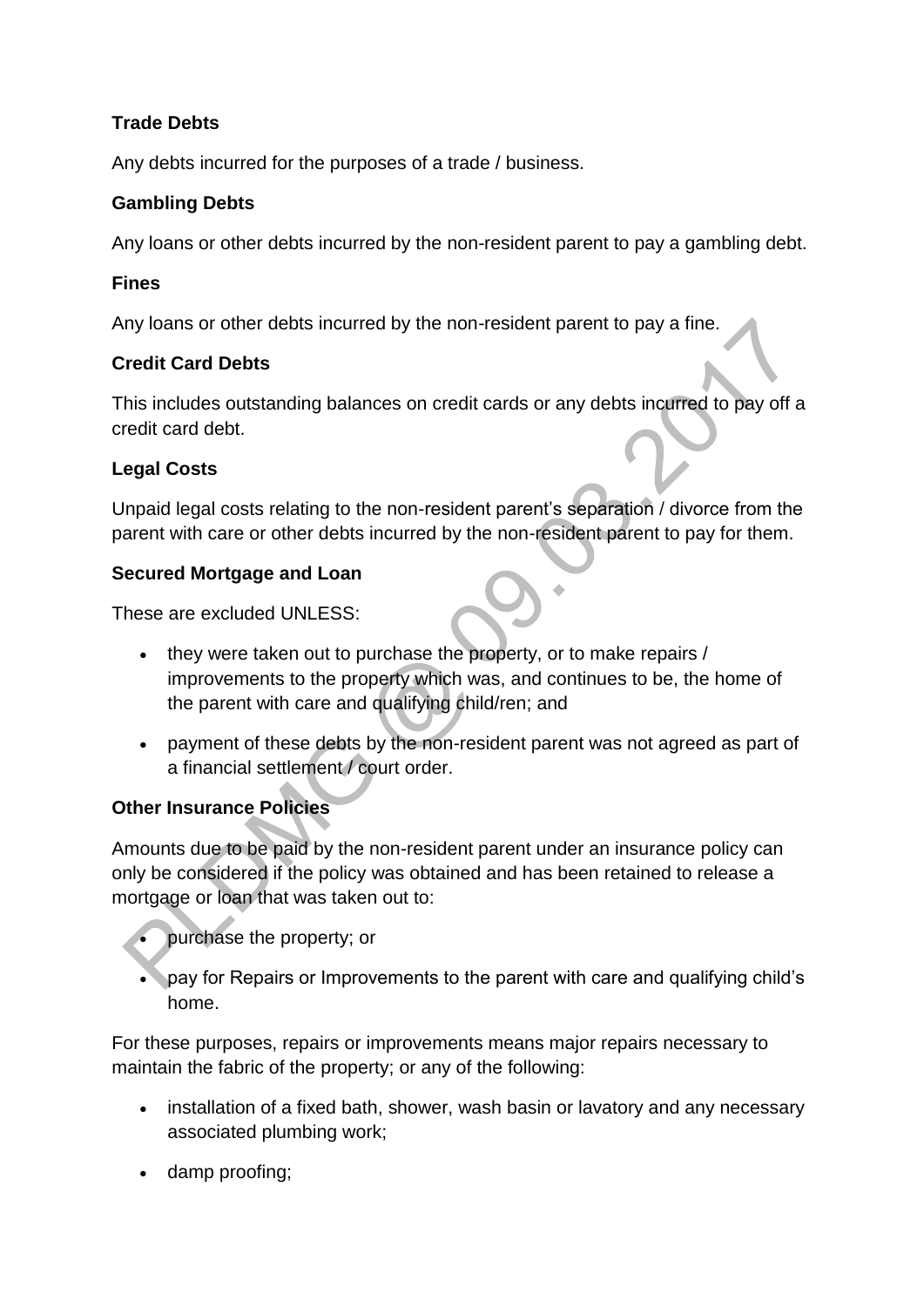# **Trade Debts**

Any debts incurred for the purposes of a trade / business.

### **Gambling Debts**

Any loans or other debts incurred by the non-resident parent to pay a gambling debt.

### **Fines**

Any loans or other debts incurred by the non-resident parent to pay a fine.

# **Credit Card Debts**

This includes outstanding balances on credit cards or any debts incurred to pay off a credit card debt.

# **Legal Costs**

Unpaid legal costs relating to the non-resident parent's separation / divorce from the parent with care or other debts incurred by the non-resident parent to pay for them.

### **Secured Mortgage and Loan**

These are excluded UNLESS:

- they were taken out to purchase the property, or to make repairs / improvements to the property which was, and continues to be, the home of the parent with care and qualifying child/ren; and
- payment of these debts by the non-resident parent was not agreed as part of a financial settlement / court order.

# **Other Insurance Policies**

Amounts due to be paid by the non-resident parent under an insurance policy can only be considered if the policy was obtained and has been retained to release a mortgage or loan that was taken out to:

purchase the property; or

 pay for Repairs or Improvements to the parent with care and qualifying child's home.

For these purposes, repairs or improvements means major repairs necessary to maintain the fabric of the property; or any of the following:

- installation of a fixed bath, shower, wash basin or lavatory and any necessary associated plumbing work;
- damp proofing;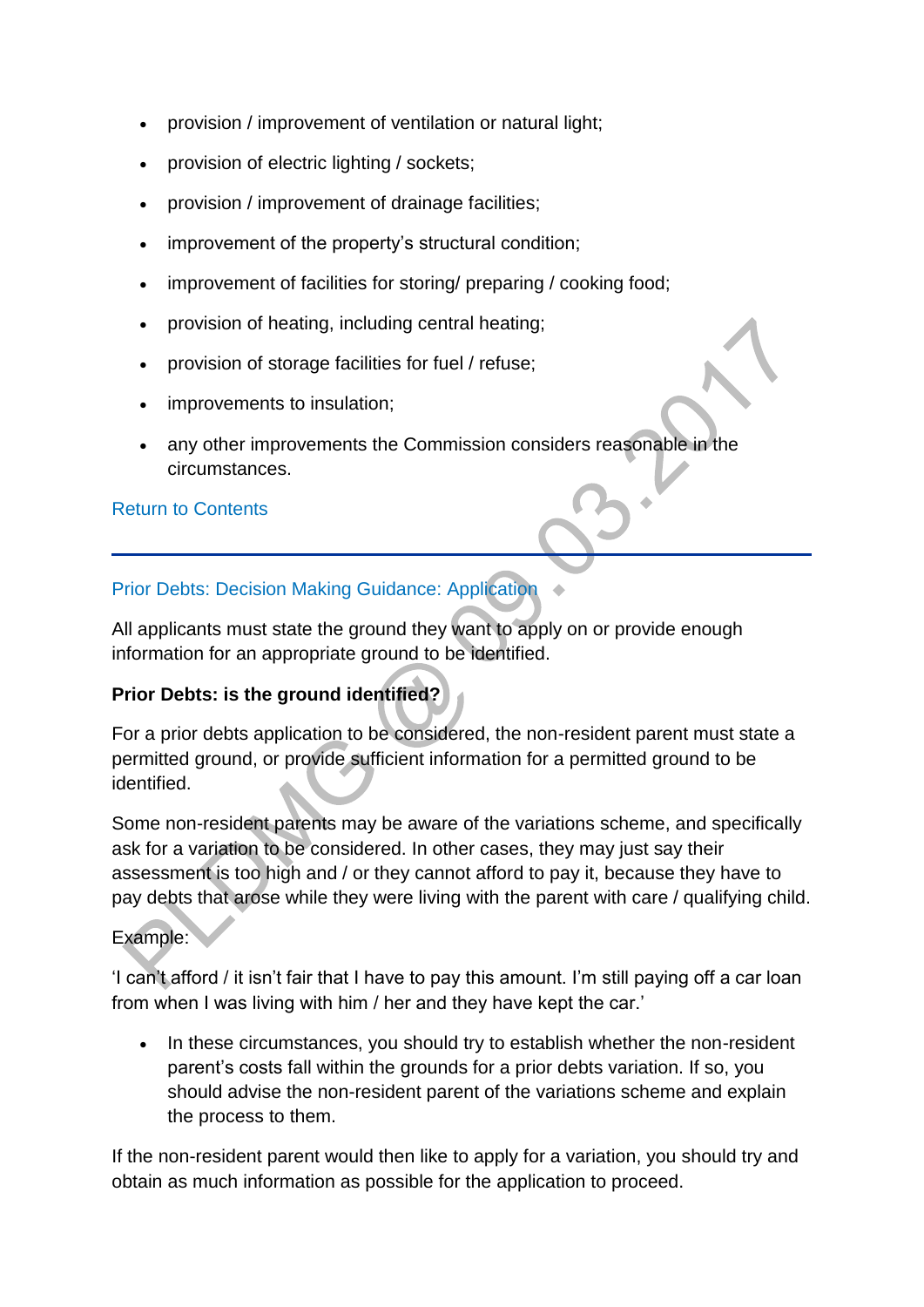- provision / improvement of ventilation or natural light;
- provision of electric lighting / sockets;
- provision / improvement of drainage facilities;
- improvement of the property's structural condition;
- improvement of facilities for storing/ preparing / cooking food;
- provision of heating, including central heating;
- provision of storage facilities for fuel / refuse;
- improvements to insulation;
- any other improvements the Commission considers reasonable in the circumstances.

### [Return to Contents](http://np-cmg-sharepoint.link2.gpn.gov.uk/sites/policy-law-and-decision-making-guidance/Pages/Variations/Special%20Expenses/Prior-Debts.aspx#DMGcontents)

# [Prior Debts: Decision Making Guidance: Application](http://np-cmg-sharepoint.link2.gpn.gov.uk/sites/policy-law-and-decision-making-guidance/Pages/Variations/Special%20Expenses/Prior-Debts.aspx)

All applicants must state the ground they want to apply on or provide enough information for an appropriate ground to be identified.

# **Prior Debts: is the ground identified?**

For a prior debts application to be considered, the non-resident parent must state a permitted ground, or provide sufficient information for a permitted ground to be identified.

Some non-resident parents may be aware of the variations scheme, and specifically ask for a variation to be considered. In other cases, they may just say their assessment is too high and / or they cannot afford to pay it, because they have to pay debts that arose while they were living with the parent with care / qualifying child.

# Example:

'I can't afford / it isn't fair that I have to pay this amount. I'm still paying off a car loan from when I was living with him / her and they have kept the car.'

• In these circumstances, you should try to establish whether the non-resident parent's costs fall within the grounds for a prior debts variation. If so, you should advise the non-resident parent of the variations scheme and explain the process to them.

If the non-resident parent would then like to apply for a variation, you should try and obtain as much information as possible for the application to proceed.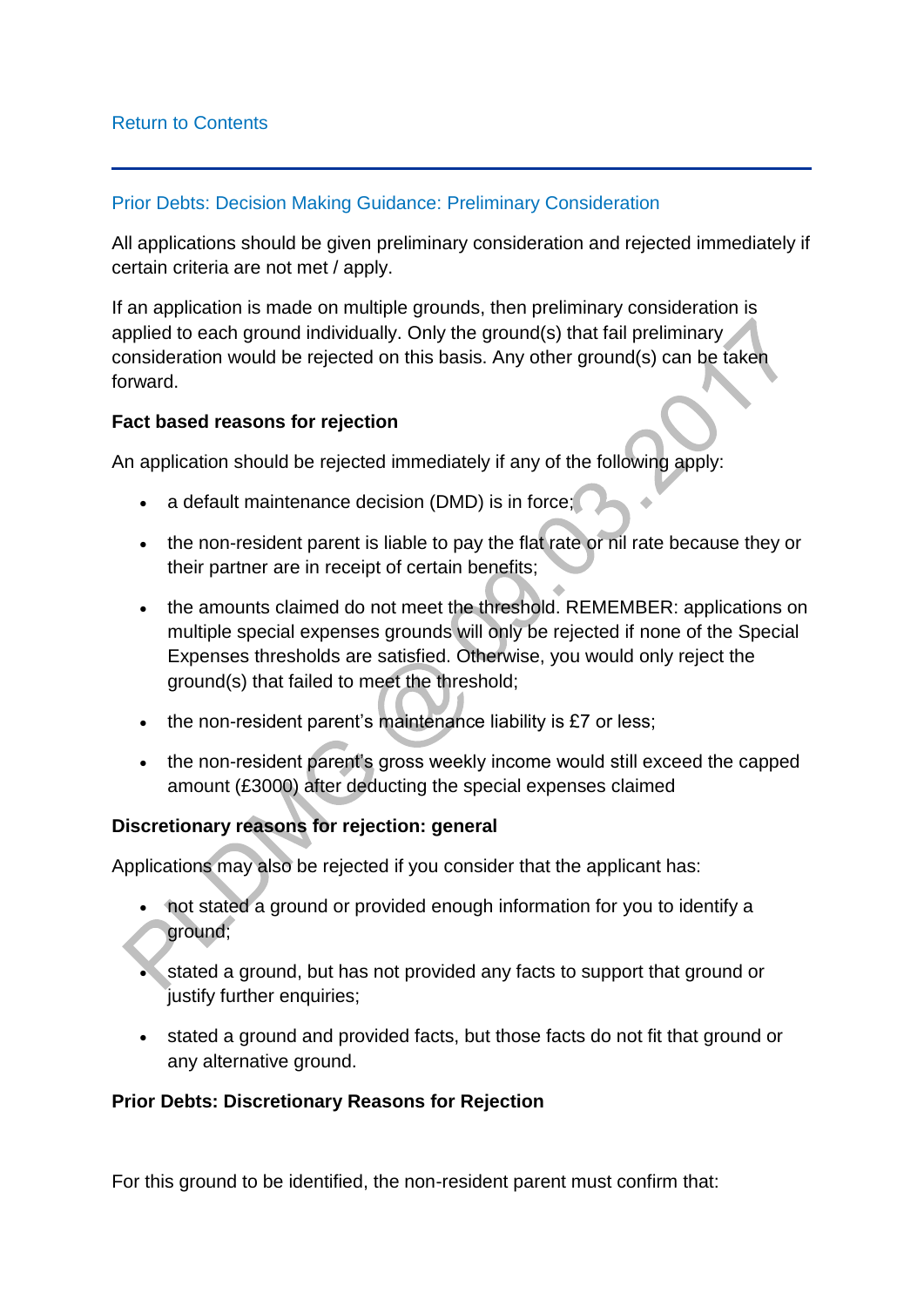#### [Prior Debts: Decision Making Guidance: Preliminary Consideration](http://np-cmg-sharepoint.link2.gpn.gov.uk/sites/policy-law-and-decision-making-guidance/Pages/Variations/Special%20Expenses/Prior-Debts.aspx)

All applications should be given preliminary consideration and rejected immediately if certain criteria are not met / apply.

If an application is made on multiple grounds, then preliminary consideration is applied to each ground individually. Only the ground(s) that fail preliminary consideration would be rejected on this basis. Any other ground(s) can be taken forward.

### **Fact based reasons for rejection**

An application should be rejected immediately if any of the following apply:

- a default maintenance decision (DMD) is in force;
- the non-resident parent is liable to pay the flat rate or nil rate because they or their partner are in receipt of certain benefits;
- the amounts claimed do not meet the threshold. REMEMBER: applications on multiple special expenses grounds will only be rejected if none of the Special Expenses thresholds are satisfied. Otherwise, you would only reject the ground(s) that failed to meet the threshold;
- the non-resident parent's maintenance liability is £7 or less;
- the non-resident parent's gross weekly income would still exceed the capped amount (£3000) after deducting the special expenses claimed

### **Discretionary reasons for rejection: general**

Applications may also be rejected if you consider that the applicant has:

- not stated a ground or provided enough information for you to identify a ground;
- stated a ground, but has not provided any facts to support that ground or justify further enquiries;
- stated a ground and provided facts, but those facts do not fit that ground or any alternative ground.

#### **Prior Debts: Discretionary Reasons for Rejection**

For this ground to be identified, the non-resident parent must confirm that: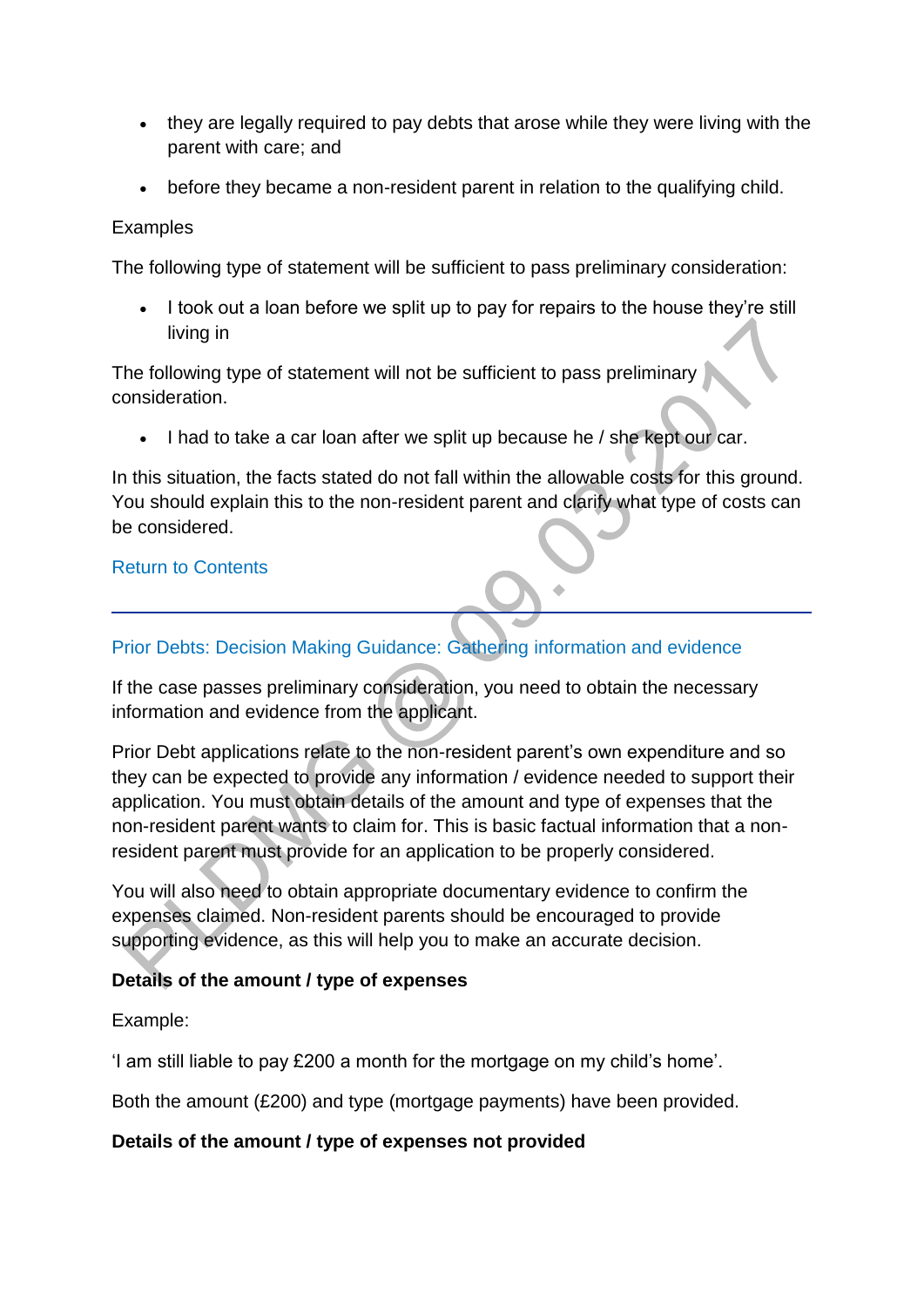- they are legally required to pay debts that arose while they were living with the parent with care; and
- before they became a non-resident parent in relation to the qualifying child.

#### Examples

The following type of statement will be sufficient to pass preliminary consideration:

 I took out a loan before we split up to pay for repairs to the house they're still living in

The following type of statement will not be sufficient to pass preliminary consideration.

• I had to take a car loan after we split up because he / she kept our car.

In this situation, the facts stated do not fall within the allowable costs for this ground. You should explain this to the non-resident parent and clarify what type of costs can be considered.

#### [Return to Contents](http://np-cmg-sharepoint.link2.gpn.gov.uk/sites/policy-law-and-decision-making-guidance/Pages/Variations/Special%20Expenses/Prior-Debts.aspx#DMGcontents)

### [Prior Debts: Decision Making Guidance: Gathering information and evidence](http://np-cmg-sharepoint.link2.gpn.gov.uk/sites/policy-law-and-decision-making-guidance/Pages/Variations/Special%20Expenses/Prior-Debts.aspx)

If the case passes preliminary consideration, you need to obtain the necessary information and evidence from the applicant.

Prior Debt applications relate to the non-resident parent's own expenditure and so they can be expected to provide any information / evidence needed to support their application. You must obtain details of the amount and type of expenses that the non-resident parent wants to claim for. This is basic factual information that a nonresident parent must provide for an application to be properly considered.

You will also need to obtain appropriate documentary evidence to confirm the expenses claimed. Non-resident parents should be encouraged to provide supporting evidence, as this will help you to make an accurate decision.

### **Details of the amount / type of expenses**

Example:

'I am still liable to pay £200 a month for the mortgage on my child's home'.

Both the amount (£200) and type (mortgage payments) have been provided.

#### **Details of the amount / type of expenses not provided**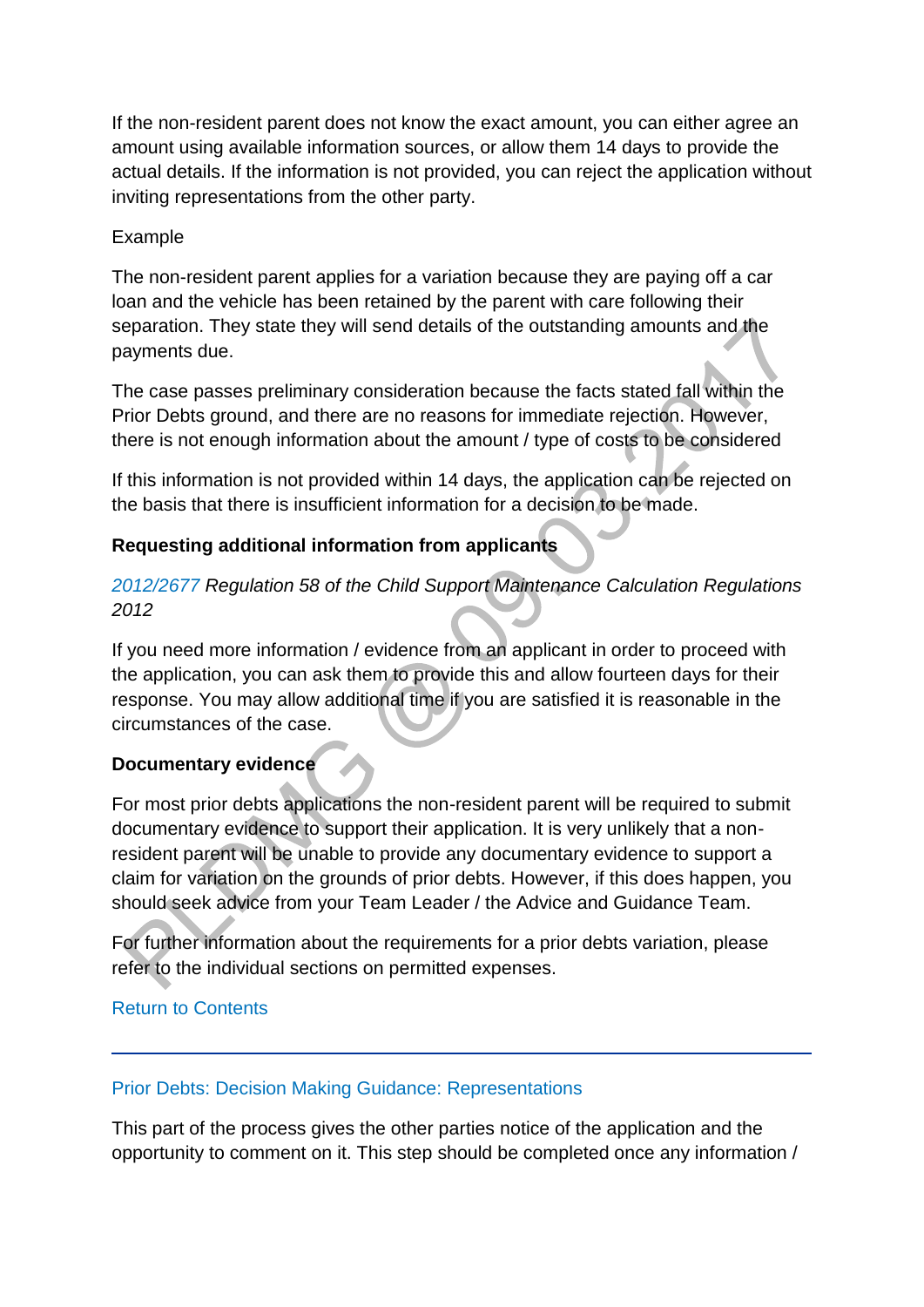If the non-resident parent does not know the exact amount, you can either agree an amount using available information sources, or allow them 14 days to provide the actual details. If the information is not provided, you can reject the application without inviting representations from the other party.

### Example

The non-resident parent applies for a variation because they are paying off a car loan and the vehicle has been retained by the parent with care following their separation. They state they will send details of the outstanding amounts and the payments due.

The case passes preliminary consideration because the facts stated fall within the Prior Debts ground, and there are no reasons for immediate rejection. However, there is not enough information about the amount / type of costs to be considered

If this information is not provided within 14 days, the application can be rejected on the basis that there is insufficient information for a decision to be made.

# **Requesting additional information from applicants**

# *[2012/2677 R](http://www.legislation.gov.uk/uksi/2012/2677)egulation 58 of the Child Support Maintenance Calculation Regulations 2012*

If you need more information / evidence from an applicant in order to proceed with the application, you can ask them to provide this and allow fourteen days for their response. You may allow additional time if you are satisfied it is reasonable in the circumstances of the case.

# **Documentary evidence**

For most prior debts applications the non-resident parent will be required to submit documentary evidence to support their application. It is very unlikely that a nonresident parent will be unable to provide any documentary evidence to support a claim for variation on the grounds of prior debts. However, if this does happen, you should seek advice from your Team Leader / the Advice and Guidance Team.

For further information about the requirements for a prior debts variation, please refer to the individual sections on permitted expenses.

# [Return to Contents](http://np-cmg-sharepoint.link2.gpn.gov.uk/sites/policy-law-and-decision-making-guidance/Pages/Variations/Special%20Expenses/Prior-Debts.aspx#DMGcontents)

### [Prior Debts: Decision Making Guidance: Representations](http://np-cmg-sharepoint.link2.gpn.gov.uk/sites/policy-law-and-decision-making-guidance/Pages/Variations/Special%20Expenses/Prior-Debts.aspx)

This part of the process gives the other parties notice of the application and the opportunity to comment on it. This step should be completed once any information /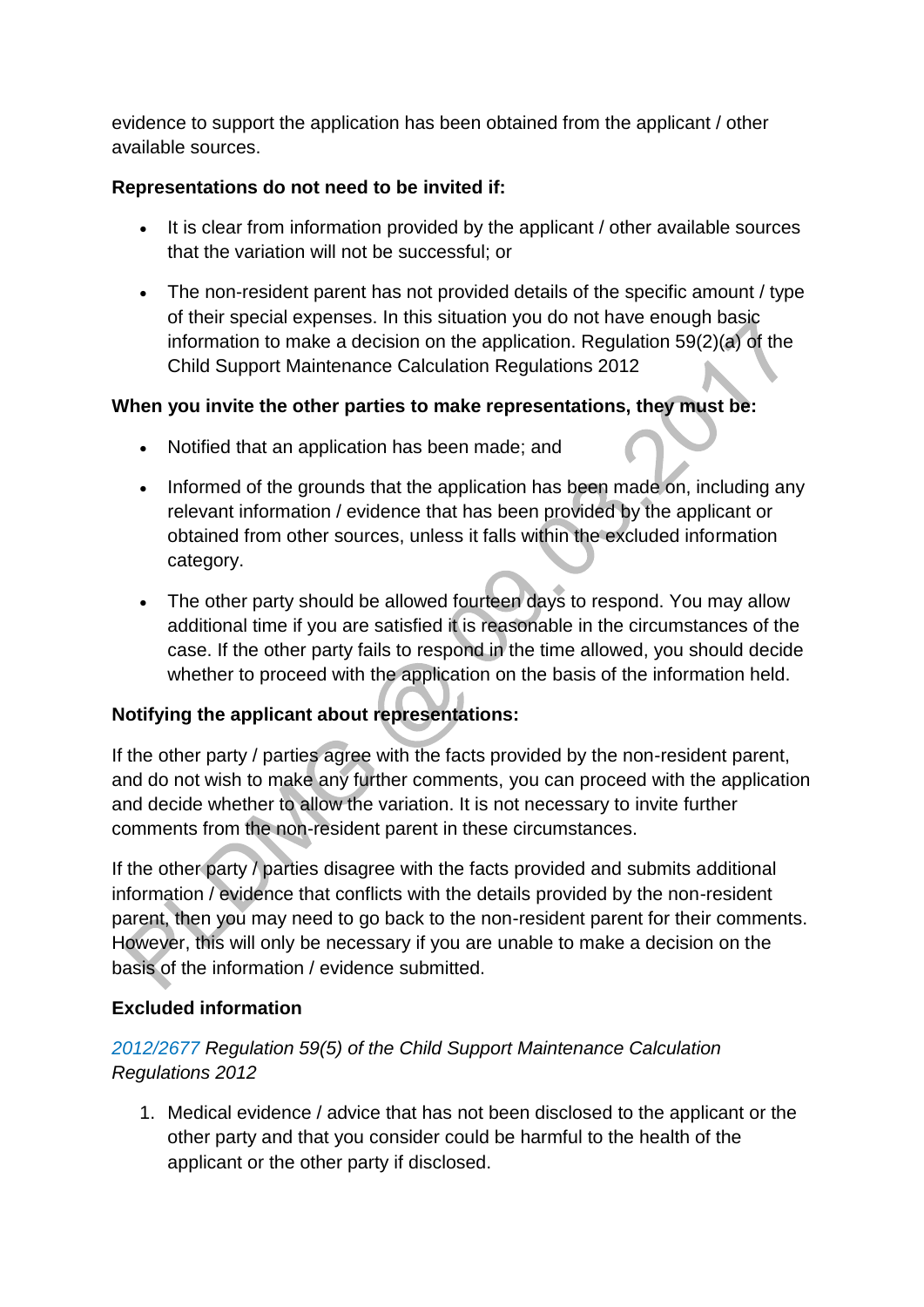evidence to support the application has been obtained from the applicant / other available sources.

### **Representations do not need to be invited if:**

- It is clear from information provided by the applicant / other available sources that the variation will not be successful; or
- The non-resident parent has not provided details of the specific amount / type of their special expenses. In this situation you do not have enough basic information to make a decision on the application. Regulation 59(2)(a) of the Child Support Maintenance Calculation Regulations 2012

# **When you invite the other parties to make representations, they must be:**

- Notified that an application has been made; and
- Informed of the grounds that the application has been made on, including any relevant information / evidence that has been provided by the applicant or obtained from other sources, unless it falls within the excluded information category.
- The other party should be allowed fourteen days to respond. You may allow additional time if you are satisfied it is reasonable in the circumstances of the case. If the other party fails to respond in the time allowed, you should decide whether to proceed with the application on the basis of the information held.

# **Notifying the applicant about representations:**

If the other party / parties agree with the facts provided by the non-resident parent, and do not wish to make any further comments, you can proceed with the application and decide whether to allow the variation. It is not necessary to invite further comments from the non-resident parent in these circumstances.

If the other party / parties disagree with the facts provided and submits additional information / evidence that conflicts with the details provided by the non-resident parent, then you may need to go back to the non-resident parent for their comments. However, this will only be necessary if you are unable to make a decision on the basis of the information / evidence submitted.

# **Excluded information**

# *[2012/2677 R](http://www.legislation.gov.uk/uksi/2012/2677)egulation 59(5) of the Child Support Maintenance Calculation Regulations 2012*

1. Medical evidence / advice that has not been disclosed to the applicant or the other party and that you consider could be harmful to the health of the applicant or the other party if disclosed.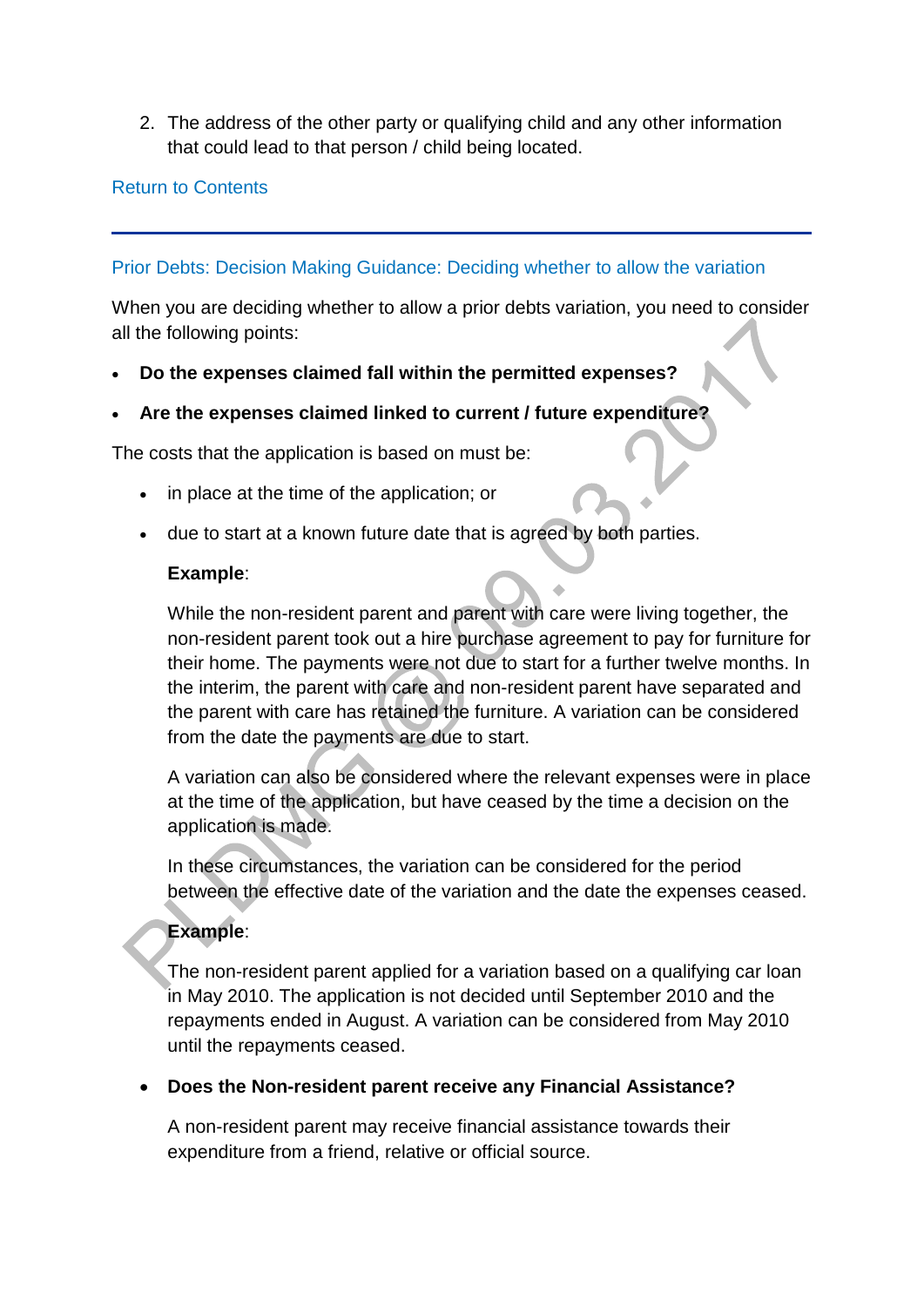2. The address of the other party or qualifying child and any other information that could lead to that person / child being located.

#### [Return to Contents](http://np-cmg-sharepoint.link2.gpn.gov.uk/sites/policy-law-and-decision-making-guidance/Pages/Variations/Special%20Expenses/Prior-Debts.aspx#DMGcontents)

#### [Prior Debts: Decision Making Guidance: Deciding whether to allow the variation](http://np-cmg-sharepoint.link2.gpn.gov.uk/sites/policy-law-and-decision-making-guidance/Pages/Variations/Special%20Expenses/Prior-Debts.aspx)

When you are deciding whether to allow a prior debts variation, you need to consider all the following points:

**Do the expenses claimed fall within the permitted expenses?**

### **Are the expenses claimed linked to current / future expenditure?**

The costs that the application is based on must be:

- in place at the time of the application; or
- due to start at a known future date that is agreed by both parties.

#### **Example**:

While the non-resident parent and parent with care were living together, the non-resident parent took out a hire purchase agreement to pay for furniture for their home. The payments were not due to start for a further twelve months. In the interim, the parent with care and non-resident parent have separated and the parent with care has retained the furniture. A variation can be considered from the date the payments are due to start.

A variation can also be considered where the relevant expenses were in place at the time of the application, but have ceased by the time a decision on the application is made.

In these circumstances, the variation can be considered for the period between the effective date of the variation and the date the expenses ceased.

### **Example**:

The non-resident parent applied for a variation based on a qualifying car loan in May 2010. The application is not decided until September 2010 and the repayments ended in August. A variation can be considered from May 2010 until the repayments ceased.

**Does the Non-resident parent receive any Financial Assistance?**

A non-resident parent may receive financial assistance towards their expenditure from a friend, relative or official source.